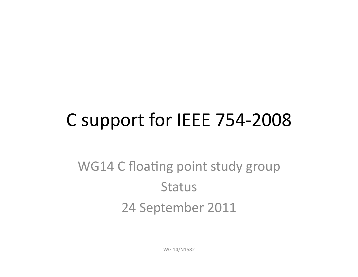## C support for IEEE 754-2008

#### WG14 C floating point study group **Status** 24 September 2011

WG 14/N1582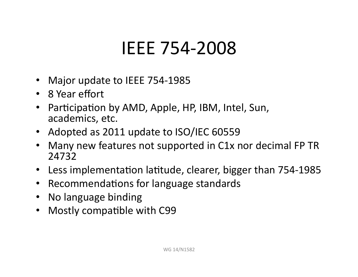#### **IEEE 754-2008**

- Major update to IEEE 754-1985
- 8 Year effort
- Participation by AMD, Apple, HP, IBM, Intel, Sun, academics, etc.
- Adopted as 2011 update to ISO/IEC 60559
- Many new features not supported in C1x nor decimal FP TR 24732"
- Less implementation latitude, clearer, bigger than 754-1985
- Recommendations for language standards
- No language binding
- Mostly compatible with C99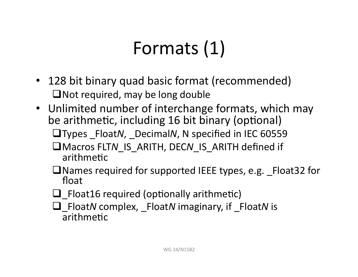## Formats (1)

- 128 bit binary quad basic format (recommended)  $\Box$  Not required, may be long double
- Unlimited number of interchange formats, which may be arithmetic, including 16 bit binary (optional)
	- □Types \_Float*N*, \_Decimal*N*, N specified in IEC 60559
	- $\Box$  Macros FLTN IS ARITH, DECN IS ARITH defined if arithmetic
	- $\Box$  Names required for supported IEEE types, e.g.  $_F$  Float32 for float
	- $\Box$  Float16 required (optionally arithmetic)
	- \_Float*N*"complex,"\_Float*N*"imaginary,"if"\_Float*N*"is" arithmetic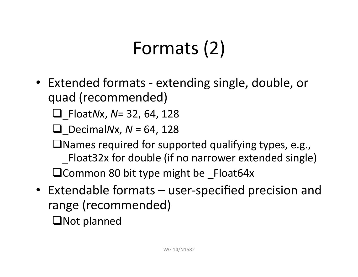# Formats (2)

• Extended formats - extending single, double, or quad (recommended)

 $\Box$  Float*Nx*, *N*= 32, 64, 128

 $\Box$  Decimal*Nx*, *N* = 64, 128

 $\Box$  Names required for supported qualifying types, e.g., Float32x for double (if no narrower extended single) Common 80 bit type might be  $F$ loat64x

- Extendable formats  $-$  user-specified precision and range (recommended)
	- $\Box$ Not planned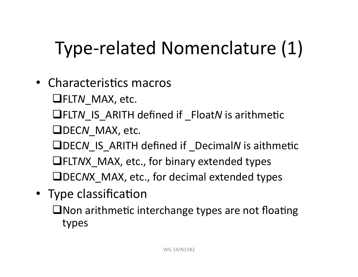# Type-related Nomenclature (1)

- Characteristics macros **LIFLTN** MAX, etc. **QFLTN IS ARITH defined if \_FloatN is arithmetic QDECN** MAX, etc. **ODECN IS ARITH defined if DecimalN is aithmetic EXTAX MAX, etc., for binary extended types ODECNX** MAX, etc., for decimal extended types • Type classification
	- $\Box$  Non arithmetic interchange types are not floating types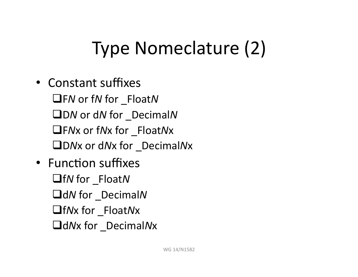## Type Nomeclature (2)

- Constant suffixes F*N*"or"f*N*"for"\_Float*N* D*N*"or"d*N*"for"\_Decimal*N* F*N*x"or"f*N*x"for"\_Float*N*x D*N*x"or"d*N*x"for"\_Decimal*N*x
- Function suffixes f*N*"for"\_Float*N* d*N*"for"\_Decimal*N* f*N*x"for"\_Float*N*x d*N*x"for"\_Decimal*N*x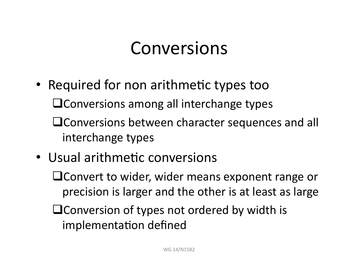#### **Conversions**

- Required for non arithmetic types too  $\sqcup$  Conversions among all interchange types  $\Box$  Conversions between character sequences and all interchange types
- Usual arithmetic conversions
	- $\sqcup$  Convert to wider, wider means exponent range or precision is larger and the other is at least as large
	- $\Box$  Conversion of types not ordered by width is implementation defined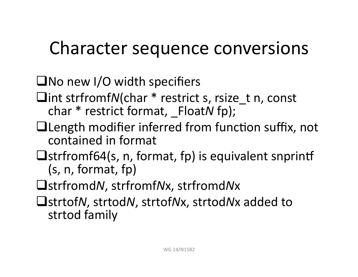## Character sequence conversions

#### $\Box$ No new I/O width specifiers

- **Int strfromfN(char \* restrict s, rsize t n, const** char \* restrict format, FloatN fp);
- $\Box$  Length modifier inferred from function suffix, not contained in format
- $\Box$ strfromf64(s, n, format, fp) is equivalent snprintf (s, n, format, fp)
- strfromd*N*,"strfromf*N*x,"strfromd*N*x
- $\Box$  strtof*N*, strtof*Nx*, strtod*Nx* added to strtod family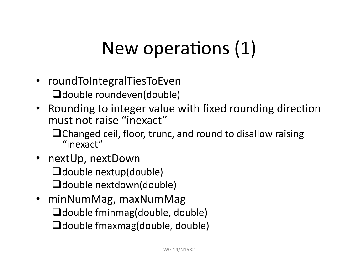## New operations (1)

- roundToIntegralTiesToEven  $\Box$  double roundeven(double)
- Rounding to integer value with fixed rounding direction must not raise "inexact"

 $\Box$  Changed ceil, floor, trunc, and round to disallow raising "inexact""

- nextUp, nextDown  $\Box$  double nextup(double)  $\Box$  double nextdown(double)
- minNumMag, maxNumMag  $\Box$  double fminmag(double, double)  $\Box$  double fmaxmag(double, double)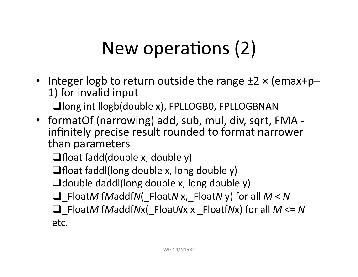## New operations (2)

- Integer logb to return outside the range  $\pm 2 \times ($ emax+p– 1) for invalid input  $\Box$  long int llogb(double x), FPLLOGB0, FPLLOGBNAN
- formatOf (narrowing) add, sub, mul, div, sqrt, FMA infinitely precise result rounded to format narrower than parameters

 $\Box$  float fadd(double x, double y)

 $\Box$  float faddl(long double x, long double y)

 $\Box$  double daddl(long double x, long double y)

\_Float*M* f*M*addf*N*(\_Float*N* x,\_Float*N*"y)"for"all"*M*"<"*N"*

\_Float*M* f*M*addf*N*x(\_Float*N*x"x"\_Floaj*N*x)"for"all"*M*"<="*N"* etc.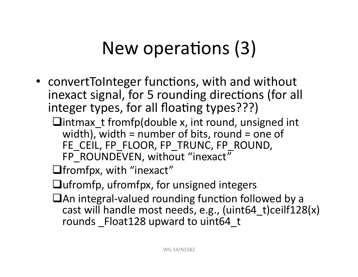## New operations (3)

- convertToInteger functions, with and without inexact signal, for 5 rounding directions (for all integer types, for all floating types???)
	- $\Box$ intmax\_t fromfp(double x, int round, unsigned int width), width = number of bits, round = one of FE CEIL, FP FLOOR, FP\_TRUNC, FP\_ROUND, FP\_ROUNDEVEN, without "inexact"

 $\Box$  fromfpx, with "inexact"

 $\Box$ ufromfp, ufromfpx, for unsigned integers

 $\Box$  An integral-valued rounding function followed by a cast will handle most needs, e.g., (uint64\_t)ceilf128(x) rounds Float128 upward to uint64 t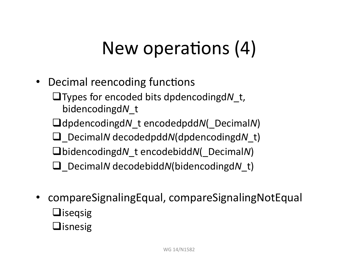## New operations (4)

• Decimal reencoding functions

**Types for encoded bits dpdencodingd** t, bidencodingd*N*\_t

dpdencodingd*N*\_t encodedpdd*N*(\_Decimal*N*)"

\_Decimal*N* decodedpdd*N*(dpdencodingd*N*\_t)"

bidencodingd*N*\_t encodebidd*N*(\_Decimal*N*)"

\_Decimal*N* decodebidd*N*(bidencodingd*N*\_t)"

- compareSignalingEqual,"compareSignalingNotEqual  $\Box$ iseqsig
	- $\Box$ isnesig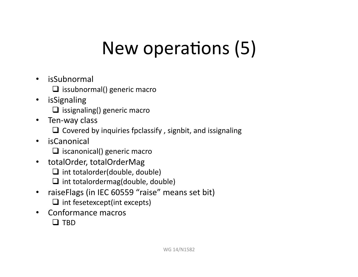## New operations (5)

- isSubnormal
	- $\Box$  issubnormal() generic macro
- isSignaling
	- $\Box$  issignaling() generic macro
- Ten-way class
	- $\Box$  Covered by inquiries fpclassify, signbit, and issignaling
- isCanonical
	- $\Box$  iscanonical() generic macro
- totalOrder, totalOrderMag
	- $\Box$  int totalorder(double, double)
	- $\Box$  int totalordermag(double, double)
- raiseFlags (in IEC 60559 "raise" means set bit)  $\Box$  int fesetexcept(int excepts)
- Conformance macros
	- $\Box$  TBD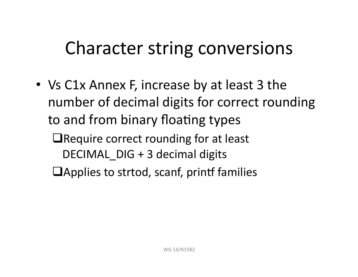#### Character string conversions

- Vs C1x Annex F, increase by at least 3 the number of decimal digits for correct rounding to and from binary floating types
	- $\Box$  Require correct rounding for at least DECIMAL  $DIG + 3$  decimal digits
	- $\Box$ Applies to strtod, scanf, printf families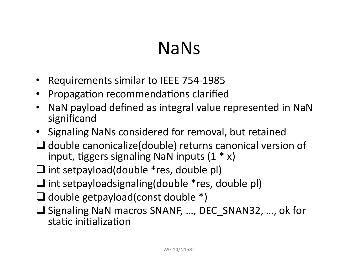### NaNs

- Requirements similar to IEEE 754-1985
- Propagation recommendations clarified
- NaN payload defined as integral value represented in NaN significand
- Signaling NaNs considered for removal, but retained
- $\Box$  double canonicalize(double) returns canonical version of input, tiggers signaling NaN inputs  $(1 * x)$
- $\Box$  int setpayload(double \*res, double pl)
- $\Box$  int setpayloadsignaling(double \*res, double pl)
- $\Box$  double getpayload(const double  $*)$
- $\Box$  Signaling NaN macros SNANF, ..., DEC SNAN32, ..., ok for static initialization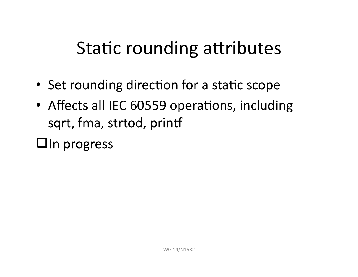#### Static rounding attributes

- Set rounding direction for a static scope
- Affects all IEC 60559 operations, including sqrt, fma, strtod, printf

 $\Box$ In progress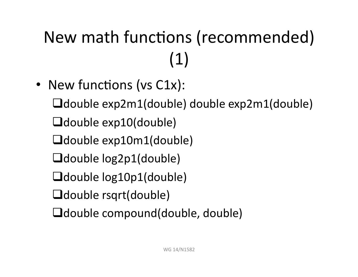# New math functions (recommended)  $(1)$

• New functions (vs C1x):  $\Box$ double exp2m1(double) double exp2m1(double)  $\Box$ double exp10(double) Ldouble exp10m1(double)  $\Box$ double  $log2p1$ (double)  $\Box$ double  $log10p1$ (double) **O**double rsqrt(double)  $\Box$ double compound(double, double)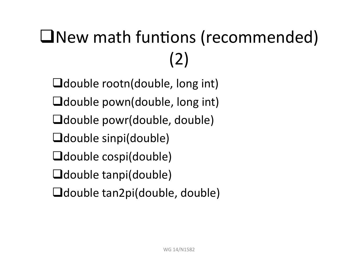# **INew math funtions (recommended)** (2)"

 $\Box$ double rootn(double, long int)  $\Box$ double pown(double, long int)  $\Box$ double powr(double, double)  $\Box$ double sinpi(double)  $\Box$ double cospi(double)  $\Box$ double tanpi(double)  $\Box$ double tan2pi(double, double)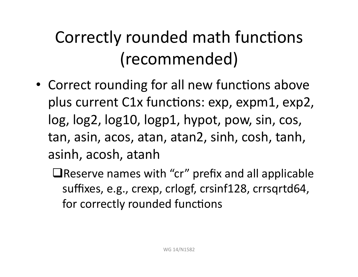### Correctly rounded math functions (recommended)

- Correct rounding for all new functions above plus current C1x functions: exp, expm1, exp2, log, log2, log10, logp1, hypot, pow, sin, cos, tan, asin, acos, atan, atan2, sinh, cosh, tanh, asinh,"acosh,"atanh
	- $\Box$  Reserve names with "cr" prefix and all applicable suffixes, e.g., crexp, crlogf, crsinf128, crrsqrtd64, for correctly rounded functions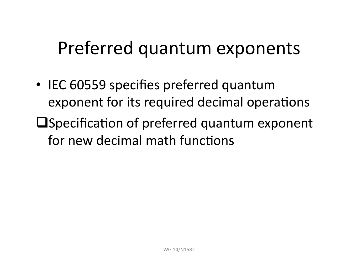#### Preferred quantum exponents

- IEC 60559 specifies preferred quantum exponent for its required decimal operations
- $\square$  Specification of preferred quantum exponent for new decimal math functions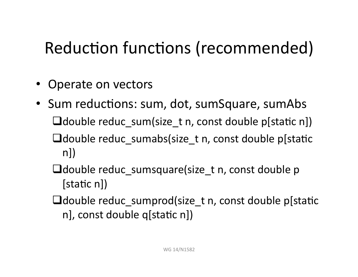#### Reduction functions (recommended)

- Operate on vectors
- Sum reductions: sum, dot, sumSquare, sumAbs  $\Box$ double reduc sum(size t n, const double p[static n])  $\Box$ double reduc\_sumabs(size\_t n, const double p[static  $n$ )
	- $\Box$ double reduc sumsquare(size t n, const double p  $[static n]$
	- $\Box$ double reduc sumprod(size t n, const double p[static n], const double q[static n])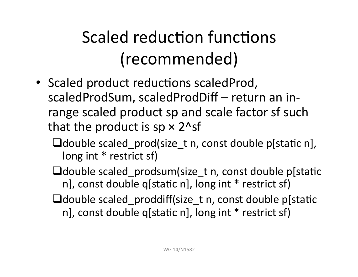## Scaled reduction functions (recommended)

- Scaled product reductions scaledProd, scaledProdSum, scaledProdDiff – return an inrange scaled product sp and scale factor sf such that the product is  $sp \times 2^s$ sf
	- $\Box$ double scaled\_prod(size\_t n, const double p[static n], long int \* restrict sf)
	- $\Box$ double scaled prodsum(size t n, const double p[static n], const double q[static n], long int  $*$  restrict sf)
	- $\Box$ double scaled proddiff(size t n, const double p[static n], const double q[static n], long int  $*$  restrict sf)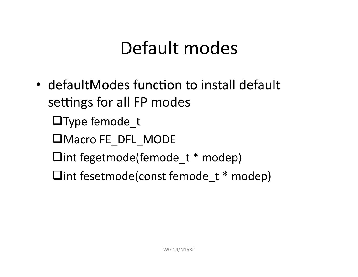#### Default modes

- defaultModes function to install default settings for all FP modes
	- $\Box$ Type femode t
	- **UMacro FE DFL MODE**
	- $\Box$ int fegetmode(femode t \* modep)
	- $\Box$ int fesetmode(const femode t  $*$  modep)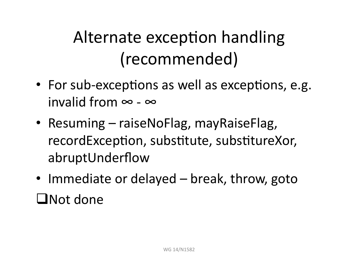#### Alternate exception handling (recommended)

- For sub-exceptions as well as exceptions, e.g. invalid from  $\infty$  -  $\infty$
- Resuming raiseNoFlag, mayRaiseFlag, recordException, substitute, substitureXor, abruptUnderflow
- Immediate or delayed break, throw, goto  $\Box$ Not done